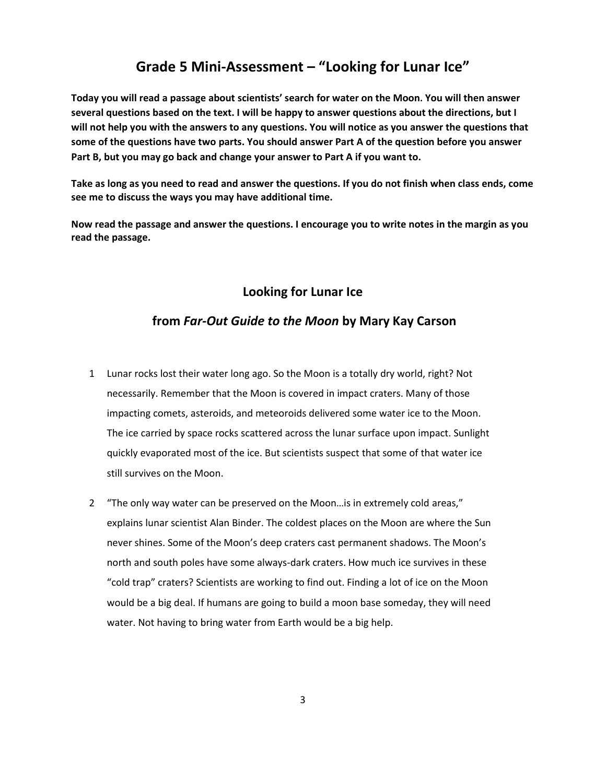## **Grade 5 Mini-Assessment – "Looking for Lunar Ice"**

**Today you will read a passage about scientists' search for water on the Moon. You will then answer several questions based on the text. I will be happy to answer questions about the directions, but I will not help you with the answers to any questions. You will notice as you answer the questions that some of the questions have two parts. You should answer Part A of the question before you answer Part B, but you may go back and change your answer to Part A if you want to.** 

**Take as long as you need to read and answer the questions. If you do not finish when class ends, come see me to discuss the ways you may have additional time.** 

**Now read the passage and answer the questions. I encourage you to write notes in the margin as you read the passage.** 

## **Looking for Lunar Ice**

## **from** *Far-Out Guide to the Moon* **by Mary Kay Carson**

- 1 Lunar rocks lost their water long ago. So the Moon is a totally dry world, right? Not necessarily. Remember that the Moon is covered in impact craters. Many of those impacting comets, asteroids, and meteoroids delivered some water ice to the Moon. The ice carried by space rocks scattered across the lunar surface upon impact. Sunlight quickly evaporated most of the ice. But scientists suspect that some of that water ice still survives on the Moon.
- 2 "The only way water can be preserved on the Moon…is in extremely cold areas," explains lunar scientist Alan Binder. The coldest places on the Moon are where the Sun never shines. Some of the Moon's deep craters cast permanent shadows. The Moon's north and south poles have some always-dark craters. How much ice survives in these "cold trap" craters? Scientists are working to find out. Finding a lot of ice on the Moon would be a big deal. If humans are going to build a moon base someday, they will need water. Not having to bring water from Earth would be a big help.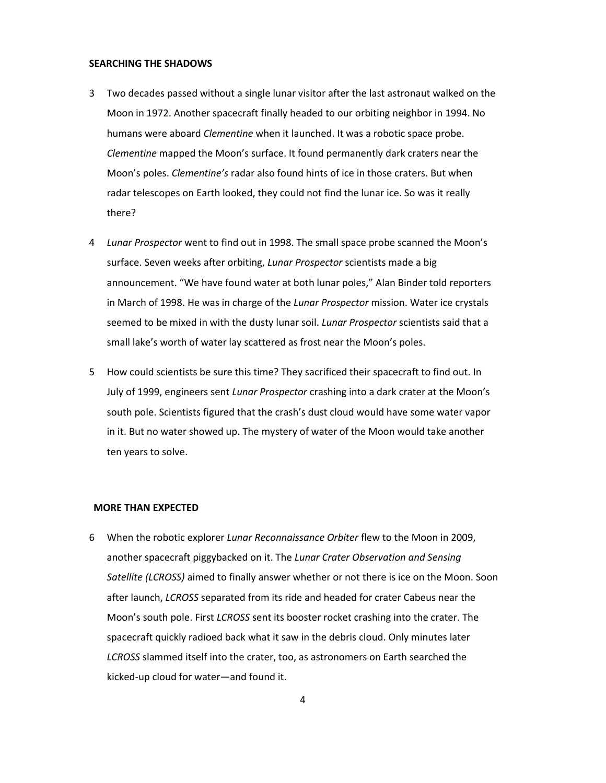#### **SEARCHING THE SHADOWS**

- 3 Two decades passed without a single lunar visitor after the last astronaut walked on the Moon in 1972. Another spacecraft finally headed to our orbiting neighbor in 1994. No humans were aboard *Clementine* when it launched. It was a robotic space probe. *Clementine* mapped the Moon's surface. It found permanently dark craters near the Moon's poles. *Clementine's* radar also found hints of ice in those craters. But when radar telescopes on Earth looked, they could not find the lunar ice. So was it really there?
- 4 *Lunar Prospector* went to find out in 1998. The small space probe scanned the Moon's surface. Seven weeks after orbiting, *Lunar Prospector* scientists made a big announcement. "We have found water at both lunar poles," Alan Binder told reporters in March of 1998. He was in charge of the *Lunar Prospector* mission. Water ice crystals seemed to be mixed in with the dusty lunar soil. *Lunar Prospector* scientists said that a small lake's worth of water lay scattered as frost near the Moon's poles.
- 5 How could scientists be sure this time? They sacrificed their spacecraft to find out. In July of 1999, engineers sent *Lunar Prospector* crashing into a dark crater at the Moon's south pole. Scientists figured that the crash's dust cloud would have some water vapor in it. But no water showed up. The mystery of water of the Moon would take another ten years to solve.

#### **MORE THAN EXPECTED**

6 When the robotic explorer *Lunar Reconnaissance Orbiter* flew to the Moon in 2009, another spacecraft piggybacked on it. The *Lunar Crater Observation and Sensing Satellite (LCROSS)* aimed to finally answer whether or not there is ice on the Moon. Soon after launch, *LCROSS* separated from its ride and headed for crater Cabeus near the Moon's south pole. First *LCROSS* sent its booster rocket crashing into the crater. The spacecraft quickly radioed back what it saw in the debris cloud. Only minutes later *LCROSS* slammed itself into the crater, too, as astronomers on Earth searched the kicked-up cloud for water—and found it.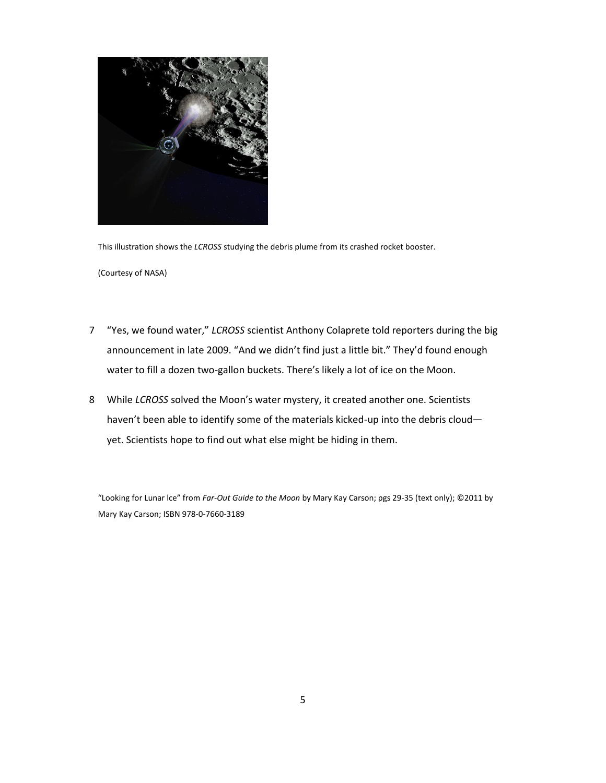

This illustration shows the *LCROSS* studying the debris plume from its crashed rocket booster.

(Courtesy of NASA)

- 7 "Yes, we found water," *LCROSS* scientist Anthony Colaprete told reporters during the big announcement in late 2009. "And we didn't find just a little bit." They'd found enough water to fill a dozen two-gallon buckets. There's likely a lot of ice on the Moon.
- 8 While *LCROSS* solved the Moon's water mystery, it created another one. Scientists haven't been able to identify some of the materials kicked-up into the debris cloud yet. Scientists hope to find out what else might be hiding in them.

"Looking for Lunar lce" from *Far-Out Guide to the Moon* by Mary Kay Carson; pgs 29-35 (text only); ©2011 by Mary Kay Carson; ISBN 978-0-7660-3189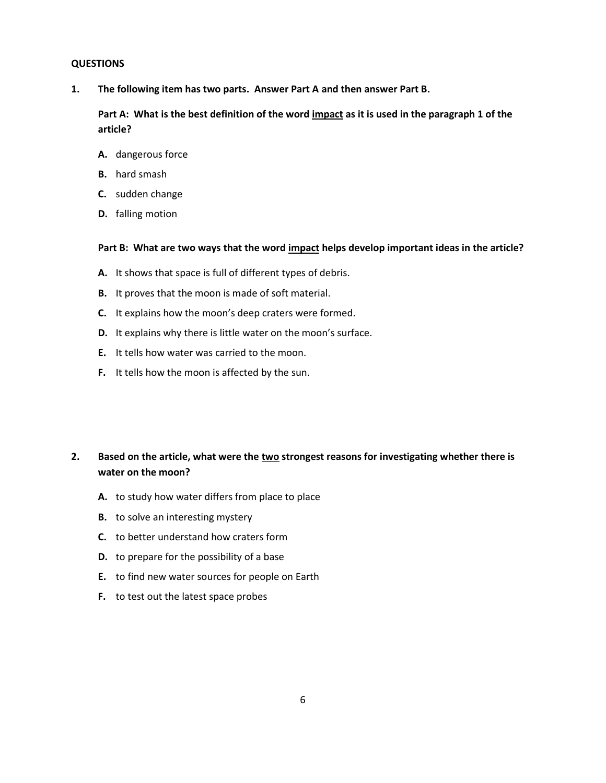#### **QUESTIONS**

**1. The following item has two parts. Answer Part A and then answer Part B.**

**Part A: What is the best definition of the word impact as it is used in the paragraph 1 of the article?**

- **A.** dangerous force
- **B.** hard smash
- **C.** sudden change
- **D.** falling motion

#### **Part B: What are two ways that the word impact helps develop important ideas in the article?**

- **A.** It shows that space is full of different types of debris.
- **B.** It proves that the moon is made of soft material.
- **C.** It explains how the moon's deep craters were formed.
- **D.** It explains why there is little water on the moon's surface.
- **E.** It tells how water was carried to the moon.
- **F.** It tells how the moon is affected by the sun.

## **2. Based on the article, what were the two strongest reasons for investigating whether there is water on the moon?**

- **A.** to study how water differs from place to place
- **B.** to solve an interesting mystery
- **C.** to better understand how craters form
- **D.** to prepare for the possibility of a base
- **E.** to find new water sources for people on Earth
- **F.** to test out the latest space probes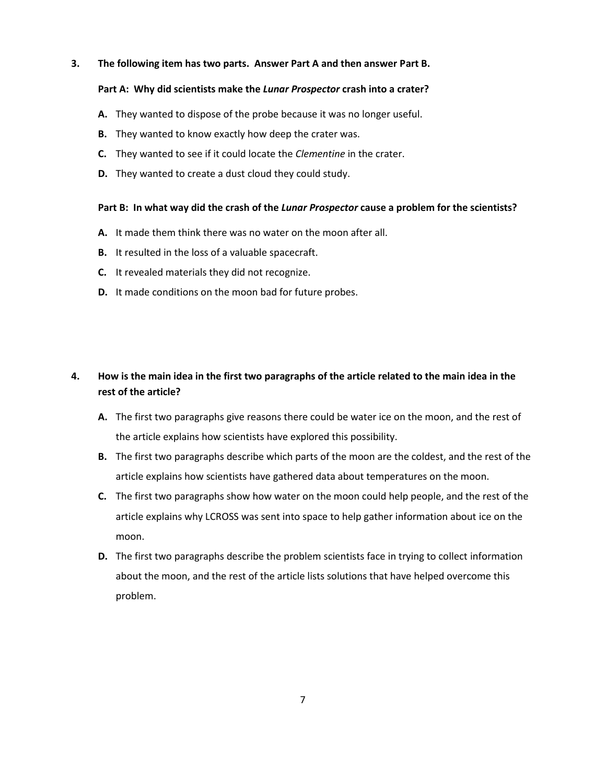#### **3. The following item has two parts. Answer Part A and then answer Part B.**

#### **Part A: Why did scientists make the** *Lunar Prospector* **crash into a crater?**

- **A.** They wanted to dispose of the probe because it was no longer useful.
- **B.** They wanted to know exactly how deep the crater was.
- **C.** They wanted to see if it could locate the *Clementine* in the crater.
- **D.** They wanted to create a dust cloud they could study.

#### **Part B: In what way did the crash of the** *Lunar Prospector* **cause a problem for the scientists?**

- **A.** It made them think there was no water on the moon after all.
- **B.** It resulted in the loss of a valuable spacecraft.
- **C.** It revealed materials they did not recognize.
- **D.** It made conditions on the moon bad for future probes.

## **4. How is the main idea in the first two paragraphs of the article related to the main idea in the rest of the article?**

- **A.** The first two paragraphs give reasons there could be water ice on the moon, and the rest of the article explains how scientists have explored this possibility.
- **B.** The first two paragraphs describe which parts of the moon are the coldest, and the rest of the article explains how scientists have gathered data about temperatures on the moon.
- **C.** The first two paragraphs show how water on the moon could help people, and the rest of the article explains why LCROSS was sent into space to help gather information about ice on the moon.
- **D.** The first two paragraphs describe the problem scientists face in trying to collect information about the moon, and the rest of the article lists solutions that have helped overcome this problem.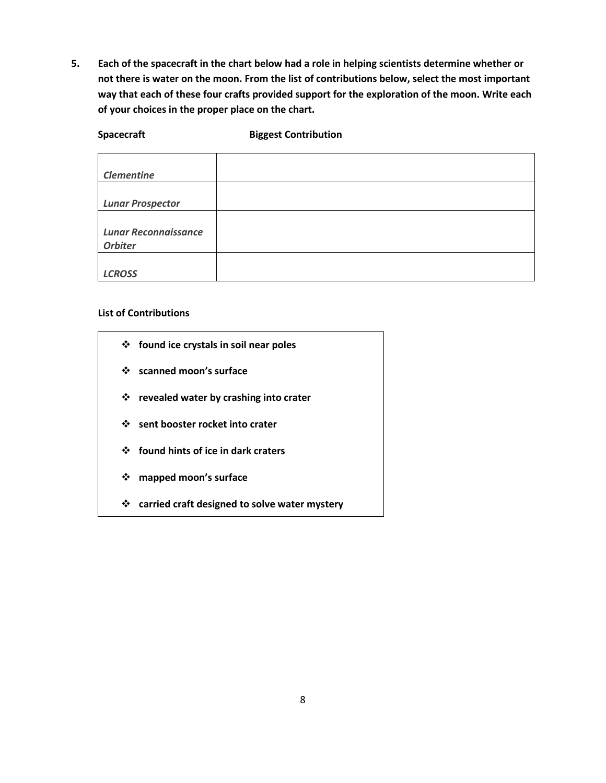**5. Each of the spacecraft in the chart below had a role in helping scientists determine whether or not there is water on the moon. From the list of contributions below, select the most important way that each of these four crafts provided support for the exploration of the moon. Write each of your choices in the proper place on the chart.**

**Spacecraft Biggest Contribution**

| <b>Clementine</b>           |  |
|-----------------------------|--|
|                             |  |
| <b>Lunar Prospector</b>     |  |
|                             |  |
| <b>Lunar Reconnaissance</b> |  |
| <b>Orbiter</b>              |  |
|                             |  |
| <b>LCROSS</b>               |  |

### **List of Contributions**

- **found ice crystals in soil near poles**
	- **scanned moon's surface**
	- **revealed water by crashing into crater**
	- **sent booster rocket into crater**
	- **found hints of ice in dark craters**
	- **mapped moon's surface**
	- **carried craft designed to solve water mystery**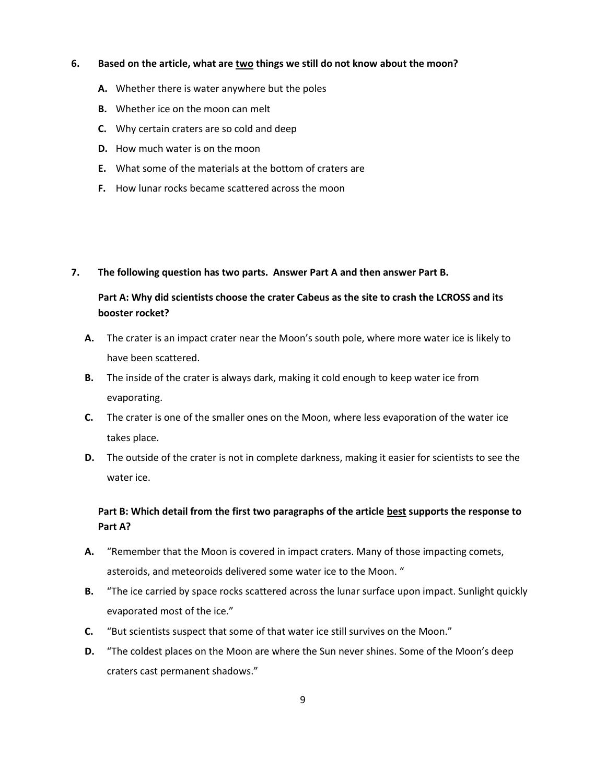#### **6. Based on the article, what are two things we still do not know about the moon?**

- **A.** Whether there is water anywhere but the poles
- **B.** Whether ice on the moon can melt
- **C.** Why certain craters are so cold and deep
- **D.** How much water is on the moon
- **E.** What some of the materials at the bottom of craters are
- **F.** How lunar rocks became scattered across the moon

#### **7. The following question has two parts. Answer Part A and then answer Part B.**

## **Part A: Why did scientists choose the crater Cabeus as the site to crash the LCROSS and its booster rocket?**

- **A.** The crater is an impact crater near the Moon's south pole, where more water ice is likely to have been scattered.
- **B.** The inside of the crater is always dark, making it cold enough to keep water ice from evaporating.
- **C.** The crater is one of the smaller ones on the Moon, where less evaporation of the water ice takes place.
- **D.** The outside of the crater is not in complete darkness, making it easier for scientists to see the water ice.

## **Part B: Which detail from the first two paragraphs of the article best supports the response to Part A?**

- **A.** "Remember that the Moon is covered in impact craters. Many of those impacting comets, asteroids, and meteoroids delivered some water ice to the Moon. "
- **B.** "The ice carried by space rocks scattered across the lunar surface upon impact. Sunlight quickly evaporated most of the ice."
- **C.** "But scientists suspect that some of that water ice still survives on the Moon."
- **D.** "The coldest places on the Moon are where the Sun never shines. Some of the Moon's deep craters cast permanent shadows."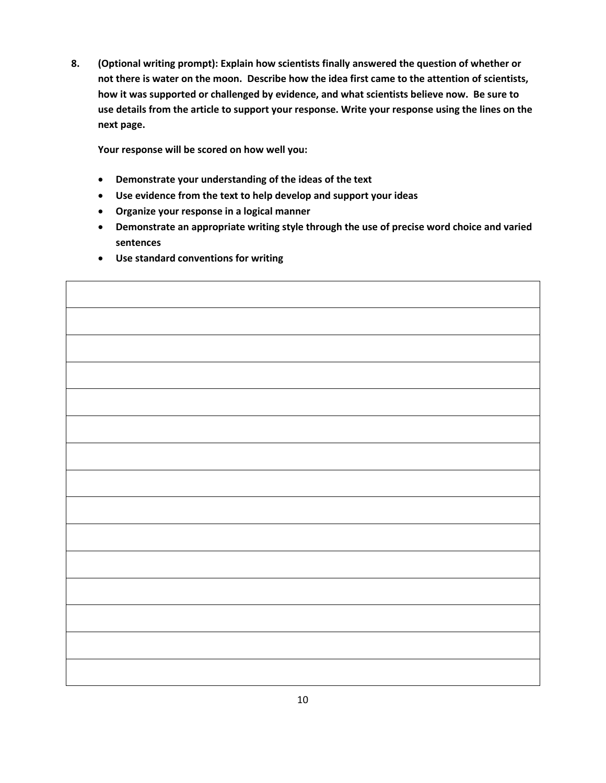**8. (Optional writing prompt): Explain how scientists finally answered the question of whether or not there is water on the moon. Describe how the idea first came to the attention of scientists, how it was supported or challenged by evidence, and what scientists believe now. Be sure to use details from the article to support your response. Write your response using the lines on the next page.** 

**Your response will be scored on how well you:** 

- **Demonstrate your understanding of the ideas of the text**
- **Use evidence from the text to help develop and support your ideas**
- **Organize your response in a logical manner**
- **Demonstrate an appropriate writing style through the use of precise word choice and varied sentences**

 $\overline{\phantom{0}}$ 

**Use standard conventions for writing** 

 $\Gamma$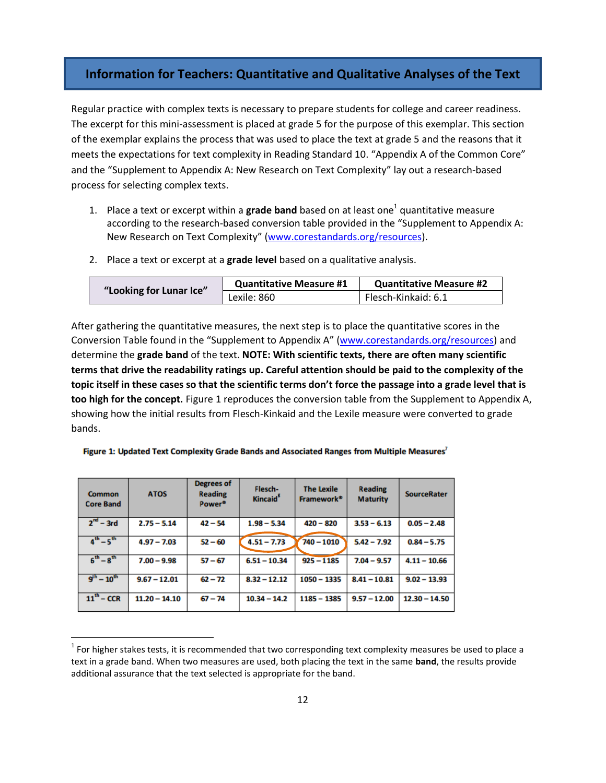## **Information for Teachers: Quantitative and Qualitative Analyses of the Text**

Regular practice with complex texts is necessary to prepare students for college and career readiness. The excerpt for this mini-assessment is placed at grade 5 for the purpose of this exemplar. This section of the exemplar explains the process that was used to place the text at grade 5 and the reasons that it meets the expectations for text complexity in Reading Standard 10. "Appendix A of the Common Core" and the "Supplement to Appendix A: New Research on Text Complexity" lay out a research-based process for selecting complex texts.

- 1. Place a text or excerpt within a **grade band** based on at least one<sup>1</sup> quantitative measure according to the research-based conversion table provided in the "Supplement to Appendix A: New Research on Text Complexity" [\(www.corestandards.org/resources\)](http://www.corestandards.org/resources).
- 2. Place a text or excerpt at a **grade level** based on a qualitative analysis.

|                         | <b>Quantitative Measure #1</b> | <b>Quantitative Measure #2</b> |
|-------------------------|--------------------------------|--------------------------------|
| "Looking for Lunar Ice" | Lexile: 860                    | Flesch-Kinkaid: 6.1            |

After gathering the quantitative measures, the next step is to place the quantitative scores in the Conversion Table found in the "Supplement to Appendix A" [\(www.corestandards.org/resources\)](http://www.corestandards.org/resources) and determine the **grade band** of the text. **NOTE: With scientific texts, there are often many scientific terms that drive the readability ratings up. Careful attention should be paid to the complexity of the topic itself in these cases so that the scientific terms don't force the passage into a grade level that is too high for the concept.** Figure 1 reproduces the conversion table from the Supplement to Appendix A, showing how the initial results from Flesch-Kinkaid and the Lexile measure were converted to grade bands.

| Common<br><b>Core Band</b> | <b>ATOS</b>     | <b>Degrees of</b><br><b>Reading</b><br>Power <sup>®</sup> | Flesch-<br><b>Kincaid</b> <sup>5</sup> | <b>The Lexile</b><br>Framework <sup>®</sup> | <b>Reading</b><br><b>Maturity</b> | <b>SourceRater</b> |
|----------------------------|-----------------|-----------------------------------------------------------|----------------------------------------|---------------------------------------------|-----------------------------------|--------------------|
| $2nd - 3rd$                | $2.75 - 5.14$   | $42 - 54$                                                 | $1.98 - 5.34$                          | $420 - 820$                                 | $3.53 - 6.13$                     | $0.05 - 2.48$      |
| $4^{th} - 5^{th}$          | $4.97 - 7.03$   | $52 - 60$                                                 | $4.51 - 7.73$                          | $740 - 1010$                                | $5.42 - 7.92$                     | $0.84 - 5.75$      |
| $6^{th} - 8^{th}$          | $7.00 - 9.98$   | $57 - 67$                                                 | $6.51 - 10.34$                         | $925 - 1185$                                | $7.04 - 9.57$                     | $4.11 - 10.66$     |
| $9^{th} - 10^{th}$         | $9.67 - 12.01$  | $62 - 72$                                                 | $8.32 - 12.12$                         | $1050 - 1335$                               | $8.41 - 10.81$                    | $9.02 - 13.93$     |
| $11^{th}$ – CCR            | $11.20 - 14.10$ | $67 - 74$                                                 | $10.34 - 14.2$                         | $1185 - 1385$                               | $9.57 - 12.00$                    | $12.30 - 14.50$    |

 $\overline{a}$ 

Figure 1: Updated Text Complexity Grade Bands and Associated Ranges from Multiple Measures<sup>7</sup>

 $^1$  For higher stakes tests, it is recommended that two corresponding text complexity measures be used to place a text in a grade band. When two measures are used, both placing the text in the same **band**, the results provide additional assurance that the text selected is appropriate for the band.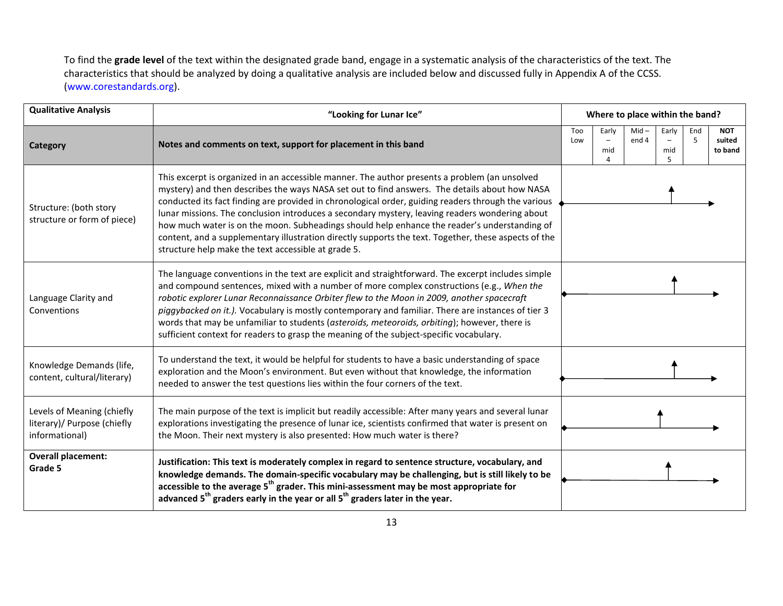To find the **grade level** of the text within the designated grade band, engage in a systematic analysis of the characteristics of the text. The characteristics that should be analyzed by doing a qualitative analysis are included below and discussed fully in Appendix A of the CCSS. [\(www.corestandards.org\)](http://www.corestandards.org/).

| <b>Qualitative Analysis</b>                                                 | "Looking for Lunar Ice"                                                                                                                                                                                                                                                                                                                                                                                                                                                                                                                                                                                                                                                |            | Where to place within the band? |                  |                   |          |                                 |
|-----------------------------------------------------------------------------|------------------------------------------------------------------------------------------------------------------------------------------------------------------------------------------------------------------------------------------------------------------------------------------------------------------------------------------------------------------------------------------------------------------------------------------------------------------------------------------------------------------------------------------------------------------------------------------------------------------------------------------------------------------------|------------|---------------------------------|------------------|-------------------|----------|---------------------------------|
| <b>Category</b>                                                             | Notes and comments on text, support for placement in this band                                                                                                                                                                                                                                                                                                                                                                                                                                                                                                                                                                                                         | Too<br>Low | Early<br>mid<br>4               | $Mid -$<br>end 4 | Early<br>mid<br>5 | End<br>5 | <b>NOT</b><br>suited<br>to band |
| Structure: (both story<br>structure or form of piece)                       | This excerpt is organized in an accessible manner. The author presents a problem (an unsolved<br>mystery) and then describes the ways NASA set out to find answers. The details about how NASA<br>conducted its fact finding are provided in chronological order, guiding readers through the various<br>lunar missions. The conclusion introduces a secondary mystery, leaving readers wondering about<br>how much water is on the moon. Subheadings should help enhance the reader's understanding of<br>content, and a supplementary illustration directly supports the text. Together, these aspects of the<br>structure help make the text accessible at grade 5. |            |                                 |                  |                   |          |                                 |
| Language Clarity and<br>Conventions                                         | The language conventions in the text are explicit and straightforward. The excerpt includes simple<br>and compound sentences, mixed with a number of more complex constructions (e.g., When the<br>robotic explorer Lunar Reconnaissance Orbiter flew to the Moon in 2009, another spacecraft<br>piggybacked on it.). Vocabulary is mostly contemporary and familiar. There are instances of tier 3<br>words that may be unfamiliar to students (asteroids, meteoroids, orbiting); however, there is<br>sufficient context for readers to grasp the meaning of the subject-specific vocabulary.                                                                        |            |                                 |                  |                   |          |                                 |
| Knowledge Demands (life,<br>content, cultural/literary)                     | To understand the text, it would be helpful for students to have a basic understanding of space<br>exploration and the Moon's environment. But even without that knowledge, the information<br>needed to answer the test questions lies within the four corners of the text.                                                                                                                                                                                                                                                                                                                                                                                           |            |                                 |                  |                   |          |                                 |
| Levels of Meaning (chiefly<br>literary)/ Purpose (chiefly<br>informational) | The main purpose of the text is implicit but readily accessible: After many years and several lunar<br>explorations investigating the presence of lunar ice, scientists confirmed that water is present on<br>the Moon. Their next mystery is also presented: How much water is there?                                                                                                                                                                                                                                                                                                                                                                                 |            |                                 |                  |                   |          |                                 |
| <b>Overall placement:</b><br>Grade 5                                        | Justification: This text is moderately complex in regard to sentence structure, vocabulary, and<br>knowledge demands. The domain-specific vocabulary may be challenging, but is still likely to be<br>accessible to the average 5 <sup>th</sup> grader. This mini-assessment may be most appropriate for<br>advanced 5 <sup>th</sup> graders early in the year or all 5 <sup>th</sup> graders later in the year.                                                                                                                                                                                                                                                       |            |                                 |                  |                   |          |                                 |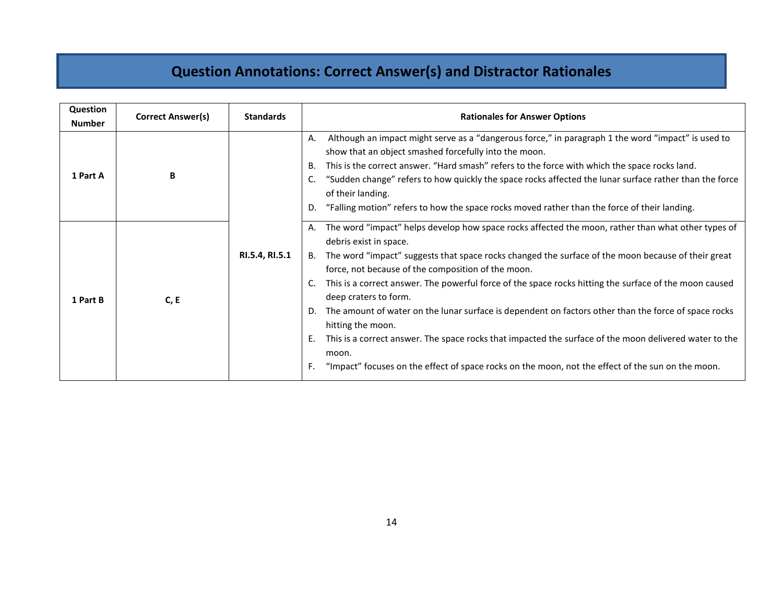# **Question Annotations: Correct Answer(s) and Distractor Rationales**

| Question<br><b>Number</b> | Correct Answer(s) | <b>Standards</b> | <b>Rationales for Answer Options</b>                                                                                                                                                                                                                                                                                                                                                                                                                                                                                                                                                                                                                                                                                                                                                                              |
|---------------------------|-------------------|------------------|-------------------------------------------------------------------------------------------------------------------------------------------------------------------------------------------------------------------------------------------------------------------------------------------------------------------------------------------------------------------------------------------------------------------------------------------------------------------------------------------------------------------------------------------------------------------------------------------------------------------------------------------------------------------------------------------------------------------------------------------------------------------------------------------------------------------|
| 1 Part A                  | B                 |                  | Although an impact might serve as a "dangerous force," in paragraph 1 the word "impact" is used to<br>Α.<br>show that an object smashed forcefully into the moon.<br>В.<br>This is the correct answer. "Hard smash" refers to the force with which the space rocks land.<br>"Sudden change" refers to how quickly the space rocks affected the lunar surface rather than the force<br>C.<br>of their landing.<br>"Falling motion" refers to how the space rocks moved rather than the force of their landing.<br>D.                                                                                                                                                                                                                                                                                               |
| 1 Part B                  | C, E              | RI.5.4, RI.5.1   | The word "impact" helps develop how space rocks affected the moon, rather than what other types of<br>Α.<br>debris exist in space.<br>B. The word "impact" suggests that space rocks changed the surface of the moon because of their great<br>force, not because of the composition of the moon.<br>This is a correct answer. The powerful force of the space rocks hitting the surface of the moon caused<br>C.<br>deep craters to form.<br>The amount of water on the lunar surface is dependent on factors other than the force of space rocks<br>D.<br>hitting the moon.<br>This is a correct answer. The space rocks that impacted the surface of the moon delivered water to the<br>Ε.<br>moon.<br>"Impact" focuses on the effect of space rocks on the moon, not the effect of the sun on the moon.<br>F. |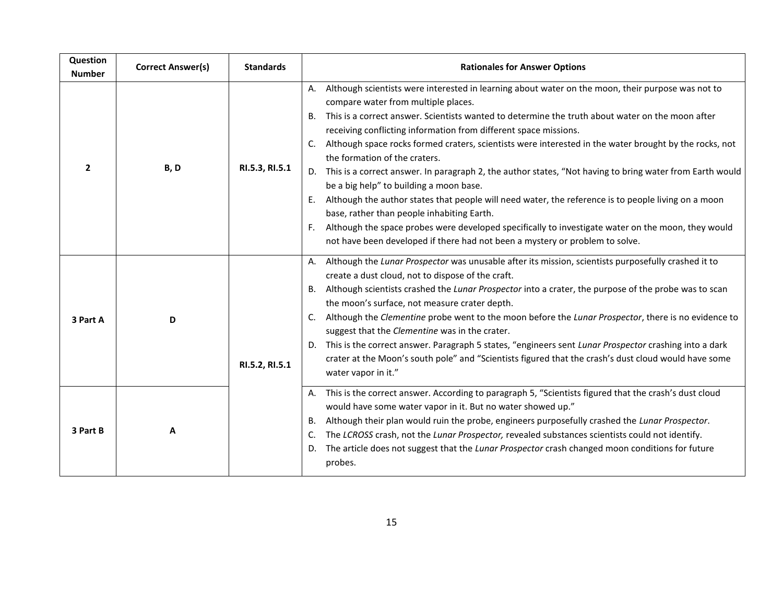| Question<br><b>Number</b> | <b>Correct Answer(s)</b> | <b>Standards</b> | <b>Rationales for Answer Options</b>                                                                                                                                                                                                                                                                                                                                                                                                                                                                                                                                                                                                                                                                                                                                                                                                                                                                                                                                                                       |
|---------------------------|--------------------------|------------------|------------------------------------------------------------------------------------------------------------------------------------------------------------------------------------------------------------------------------------------------------------------------------------------------------------------------------------------------------------------------------------------------------------------------------------------------------------------------------------------------------------------------------------------------------------------------------------------------------------------------------------------------------------------------------------------------------------------------------------------------------------------------------------------------------------------------------------------------------------------------------------------------------------------------------------------------------------------------------------------------------------|
| $\overline{2}$            | B, D                     | RI.5.3, RI.5.1   | Although scientists were interested in learning about water on the moon, their purpose was not to<br>Α.<br>compare water from multiple places.<br>This is a correct answer. Scientists wanted to determine the truth about water on the moon after<br>В.<br>receiving conflicting information from different space missions.<br>Although space rocks formed craters, scientists were interested in the water brought by the rocks, not<br>$\mathsf{C}$ .<br>the formation of the craters.<br>D. This is a correct answer. In paragraph 2, the author states, "Not having to bring water from Earth would<br>be a big help" to building a moon base.<br>Although the author states that people will need water, the reference is to people living on a moon<br>E.<br>base, rather than people inhabiting Earth.<br>Although the space probes were developed specifically to investigate water on the moon, they would<br>F.<br>not have been developed if there had not been a mystery or problem to solve. |
| 3 Part A                  | D                        | RI.5.2, RI.5.1   | Although the Lunar Prospector was unusable after its mission, scientists purposefully crashed it to<br>А.<br>create a dust cloud, not to dispose of the craft.<br>B. Although scientists crashed the Lunar Prospector into a crater, the purpose of the probe was to scan<br>the moon's surface, not measure crater depth.<br>Although the Clementine probe went to the moon before the Lunar Prospector, there is no evidence to<br>C.<br>suggest that the Clementine was in the crater.<br>D. This is the correct answer. Paragraph 5 states, "engineers sent Lunar Prospector crashing into a dark<br>crater at the Moon's south pole" and "Scientists figured that the crash's dust cloud would have some<br>water vapor in it."                                                                                                                                                                                                                                                                       |
| 3 Part B                  | Α                        |                  | This is the correct answer. According to paragraph 5, "Scientists figured that the crash's dust cloud<br>Α.<br>would have some water vapor in it. But no water showed up."<br>Although their plan would ruin the probe, engineers purposefully crashed the Lunar Prospector.<br>В.<br>The LCROSS crash, not the Lunar Prospector, revealed substances scientists could not identify.<br>C.<br>The article does not suggest that the Lunar Prospector crash changed moon conditions for future<br>D.<br>probes.                                                                                                                                                                                                                                                                                                                                                                                                                                                                                             |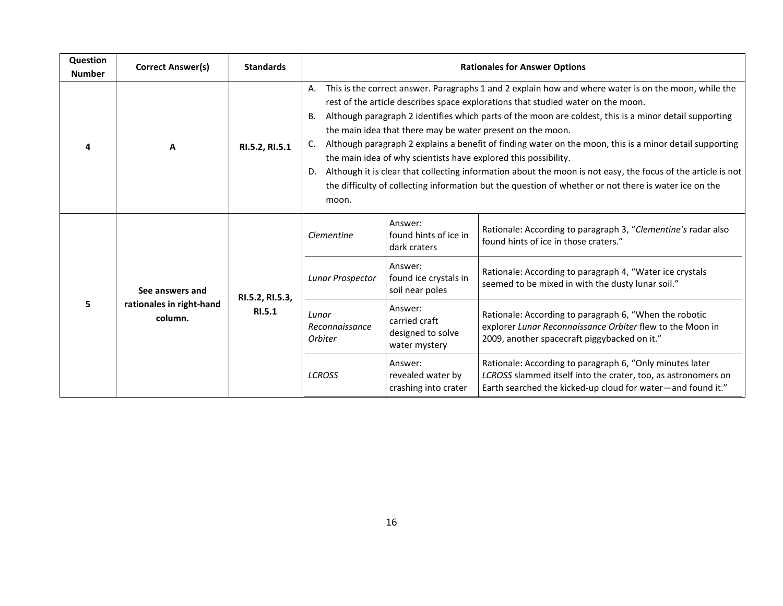| Question<br><b>Number</b> | Correct Answer(s)                                      | <b>Standards</b>          | <b>Rationales for Answer Options</b>                                                                                                                                                                                                                                                                                                                                                                                                                                                                                                                                                                                                                                                                                                                                                                |                                                                |                                                                                                                                                                                          |  |
|---------------------------|--------------------------------------------------------|---------------------------|-----------------------------------------------------------------------------------------------------------------------------------------------------------------------------------------------------------------------------------------------------------------------------------------------------------------------------------------------------------------------------------------------------------------------------------------------------------------------------------------------------------------------------------------------------------------------------------------------------------------------------------------------------------------------------------------------------------------------------------------------------------------------------------------------------|----------------------------------------------------------------|------------------------------------------------------------------------------------------------------------------------------------------------------------------------------------------|--|
| 4                         | A                                                      | RI.5.2, RI.5.1            | This is the correct answer. Paragraphs 1 and 2 explain how and where water is on the moon, while the<br>rest of the article describes space explorations that studied water on the moon.<br>Although paragraph 2 identifies which parts of the moon are coldest, this is a minor detail supporting<br><b>B.</b><br>the main idea that there may be water present on the moon.<br>Although paragraph 2 explains a benefit of finding water on the moon, this is a minor detail supporting<br>the main idea of why scientists have explored this possibility.<br>Although it is clear that collecting information about the moon is not easy, the focus of the article is not<br>D.<br>the difficulty of collecting information but the question of whether or not there is water ice on the<br>moon. |                                                                |                                                                                                                                                                                          |  |
| 5                         | See answers and<br>rationales in right-hand<br>column. | RI.5.2, RI.5.3,<br>RI.5.1 | Clementine                                                                                                                                                                                                                                                                                                                                                                                                                                                                                                                                                                                                                                                                                                                                                                                          | Answer:<br>found hints of ice in<br>dark craters               | Rationale: According to paragraph 3, "Clementine's radar also<br>found hints of ice in those craters."                                                                                   |  |
|                           |                                                        |                           | Lunar Prospector                                                                                                                                                                                                                                                                                                                                                                                                                                                                                                                                                                                                                                                                                                                                                                                    | Answer:<br>found ice crystals in<br>soil near poles            | Rationale: According to paragraph 4, "Water ice crystals<br>seemed to be mixed in with the dusty lunar soil."                                                                            |  |
|                           |                                                        |                           | Lunar<br>Reconnaissance<br><b>Orbiter</b>                                                                                                                                                                                                                                                                                                                                                                                                                                                                                                                                                                                                                                                                                                                                                           | Answer:<br>carried craft<br>designed to solve<br>water mystery | Rationale: According to paragraph 6, "When the robotic<br>explorer Lunar Reconnaissance Orbiter flew to the Moon in<br>2009, another spacecraft piggybacked on it."                      |  |
|                           |                                                        |                           | <b>LCROSS</b>                                                                                                                                                                                                                                                                                                                                                                                                                                                                                                                                                                                                                                                                                                                                                                                       | Answer:<br>revealed water by<br>crashing into crater           | Rationale: According to paragraph 6, "Only minutes later<br>LCROSS slammed itself into the crater, too, as astronomers on<br>Earth searched the kicked-up cloud for water-and found it." |  |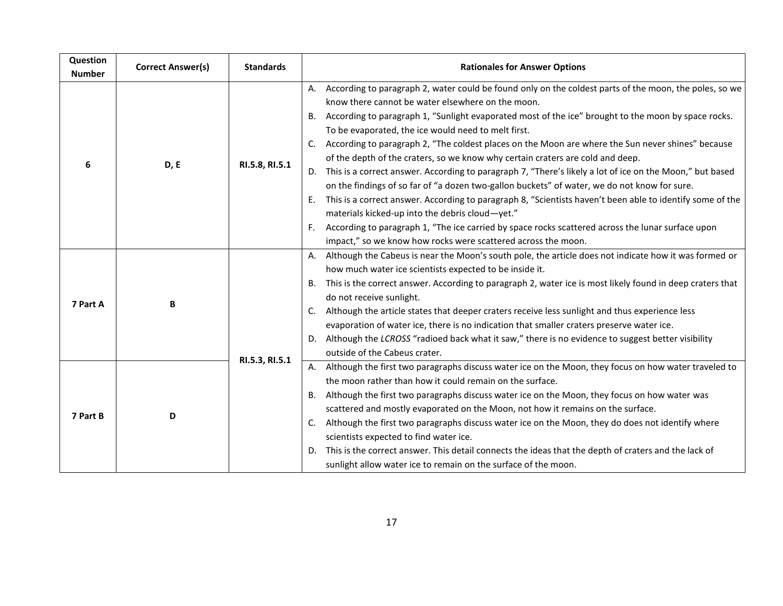| Question<br><b>Number</b> | <b>Correct Answer(s)</b> | <b>Standards</b> | <b>Rationales for Answer Options</b>                                                                                                                                                                                                                                                                                                                                                                                                                                                                                                                                                                                                                                                                                                                                                                                                                                                                                                                                                                                                                                                                 |
|---------------------------|--------------------------|------------------|------------------------------------------------------------------------------------------------------------------------------------------------------------------------------------------------------------------------------------------------------------------------------------------------------------------------------------------------------------------------------------------------------------------------------------------------------------------------------------------------------------------------------------------------------------------------------------------------------------------------------------------------------------------------------------------------------------------------------------------------------------------------------------------------------------------------------------------------------------------------------------------------------------------------------------------------------------------------------------------------------------------------------------------------------------------------------------------------------|
| 6                         | D, E                     | RI.5.8, RI.5.1   | According to paragraph 2, water could be found only on the coldest parts of the moon, the poles, so we<br>А.<br>know there cannot be water elsewhere on the moon.<br>According to paragraph 1, "Sunlight evaporated most of the ice" brought to the moon by space rocks.<br><b>B.</b><br>To be evaporated, the ice would need to melt first.<br>According to paragraph 2, "The coldest places on the Moon are where the Sun never shines" because<br>C.<br>of the depth of the craters, so we know why certain craters are cold and deep.<br>D. This is a correct answer. According to paragraph 7, "There's likely a lot of ice on the Moon," but based<br>on the findings of so far of "a dozen two-gallon buckets" of water, we do not know for sure.<br>This is a correct answer. According to paragraph 8, "Scientists haven't been able to identify some of the<br>Ε.<br>materials kicked-up into the debris cloud-yet."<br>According to paragraph 1, "The ice carried by space rocks scattered across the lunar surface upon<br>impact," so we know how rocks were scattered across the moon. |
| 7 Part A                  | B                        |                  | Although the Cabeus is near the Moon's south pole, the article does not indicate how it was formed or<br>how much water ice scientists expected to be inside it.<br>This is the correct answer. According to paragraph 2, water ice is most likely found in deep craters that<br>В.<br>do not receive sunlight.<br>Although the article states that deeper craters receive less sunlight and thus experience less<br>C.<br>evaporation of water ice, there is no indication that smaller craters preserve water ice.<br>Although the LCROSS "radioed back what it saw," there is no evidence to suggest better visibility<br>D.<br>outside of the Cabeus crater.                                                                                                                                                                                                                                                                                                                                                                                                                                     |
| 7 Part B                  | D                        | RI.5.3, RI.5.1   | A. Although the first two paragraphs discuss water ice on the Moon, they focus on how water traveled to<br>the moon rather than how it could remain on the surface.<br>Although the first two paragraphs discuss water ice on the Moon, they focus on how water was<br>В.<br>scattered and mostly evaporated on the Moon, not how it remains on the surface.<br>Although the first two paragraphs discuss water ice on the Moon, they do does not identify where<br>C.<br>scientists expected to find water ice.<br>This is the correct answer. This detail connects the ideas that the depth of craters and the lack of<br>D.<br>sunlight allow water ice to remain on the surface of the moon.                                                                                                                                                                                                                                                                                                                                                                                                     |